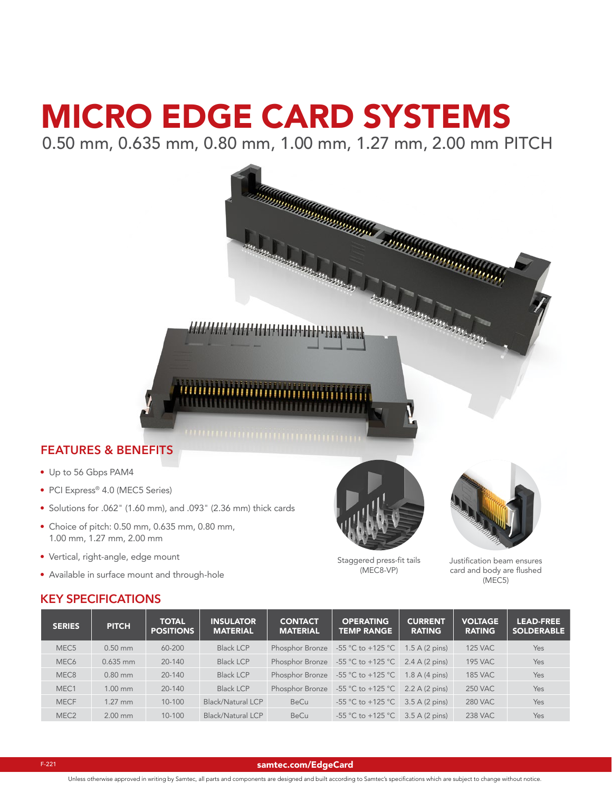# MICRO EDGE CARD SYSTEMS

11111111111111111111111111111111

0.50 mm, 0.635 mm, 0.80 mm, 1.00 mm, 1.27 mm, 2.00 mm PITCH

## **FEATURES & BENEFITS**

- Up to 56 Gbps PAM4
- PCI Express® 4.0 (MEC5 Series)
- Solutions for .062" (1.60 mm), and .093" (2.36 mm) thick cards
- Choice of pitch: 0.50 mm, 0.635 mm, 0.80 mm, 1.00 mm, 1.27 mm, 2.00 mm
- Vertical, right-angle, edge mount
- Available in surface mount and through-hole





Staggered press-fit tails (MEC8-VP)

Justification beam ensures card and body are flushed (MEC5)

## **KEY SPECIFICATIONS**

| <b>SERIES</b>    | <b>PITCH</b> | <b>TOTAL</b><br><b>POSITIONS</b> | <b>INSULATOR</b><br><b>MATERIAL</b> | <b>CONTACT</b><br><b>MATERIAL</b> | <b>OPERATING</b><br><b>TEMP RANGE</b>                   | <b>CURRENT</b><br><b>RATING</b> | <b>VOLTAGE</b><br><b>RATING</b> | <b>LEAD-FREE</b><br><b>SOLDERABLE</b> |
|------------------|--------------|----------------------------------|-------------------------------------|-----------------------------------|---------------------------------------------------------|---------------------------------|---------------------------------|---------------------------------------|
| MEC <sub>5</sub> | $0.50$ mm    | 60-200                           | <b>Black LCP</b>                    |                                   | Phosphor Bronze $-55$ °C to $+125$ °C                   | $1.5$ A $(2 \text{ pins})$      | <b>125 VAC</b>                  | <b>Yes</b>                            |
| MEC <sub>6</sub> | $0.635$ mm   | 20-140                           | <b>Black LCP</b>                    |                                   | Phosphor Bronze $-55$ °C to +125 °C 2.4 A (2 pins)      |                                 | <b>195 VAC</b>                  | Yes                                   |
| MEC <sub>8</sub> | $0.80$ mm    | $20 - 140$                       | <b>Black LCP</b>                    |                                   | Phosphor Bronze -55 °C to +125 °C                       | $1.8$ A $(4$ pins)              | <b>185 VAC</b>                  | Yes                                   |
| MEC <sub>1</sub> | $1.00$ mm    | $20 - 140$                       | <b>Black LCP</b>                    |                                   | Phosphor Bronze $-55$ °C to $+125$ °C $-2.2$ A (2 pins) |                                 | <b>250 VAC</b>                  | Yes                                   |
| <b>MECF</b>      | $1.27$ mm    | $10 - 100$                       | <b>Black/Natural LCP</b>            | <b>BeCu</b>                       | $-55 \text{ °C}$ to $+125 \text{ °C}$                   | $3.5$ A (2 pins)                | <b>280 VAC</b>                  | Yes                                   |
| MEC <sub>2</sub> | $2.00$ mm    | $10 - 100$                       | Black/Natural LCP                   | <b>BeCu</b>                       | $-55 \text{ °C}$ to $+125 \text{ °C}$                   | $3.5$ A (2 pins)                | <b>238 VAC</b>                  | Yes                                   |

#### [samtec.com/EdgeCard](http://www.samtec.com/EdgeCard)

Unless otherwise approved in writing by Samtec, all parts and components are designed and built according to Samtec's specifications which are subject to change without notice.